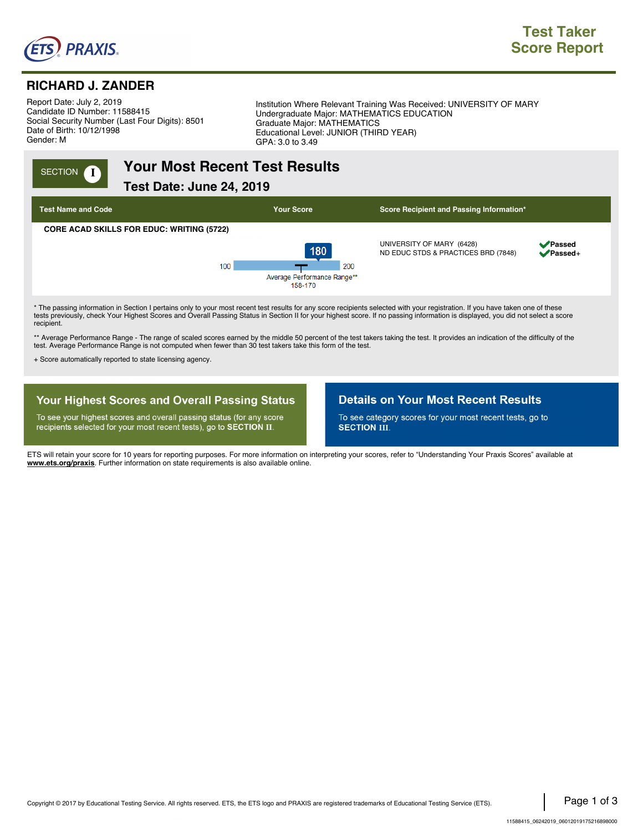

### **RICHARD J. ZANDER**

Report Date: July 2, 2019. Candidate ID Number: 11588415. Social Security Number (Last Four Digits): 8501. Date of Birth: 10/12/1998. Gender: M.

Institution Where Relevant Training Was Received: UNIVERSITY OF MARY . Undergraduate Major: MATHEMATICS EDUCATION . Graduate Major: MATHEMATICS . Educational Level: JUNIOR (THIRD YEAR) . GPA: 3.0 to 3.49

# **INGLET CONCOCO YOUR MOST RECENT TEST RESULTS**

**Test Date: June 24, 2019.,**



tests previously, check Your Highest Scores and Overall Passing Status in Section II for your highest score. If no passing information is displayed, you did not select a score recipient.

\*\* Average Performance Range - The range of scaled scores earned by the middle 50 percent of the test takers taking the test. It provides an indication of the difficulty of the test. Average Performance Range is not computed when fewer than 30 test takers take this form of the test.

+ Score automatically reported to state licensing agency.

### **Your Highest Scores and Overall Passing Status**

To see your highest scores and overall passing status (for any score recipients selected for your most recent tests), go to SECTION II.

### **Details on Your Most Recent Results**

To see category scores for your most recent tests, go to **SECTION III.** 

ETS will retain your score for 10 years for reporting purposes. For more information on interpreting your scores, refer to "Understanding Your Praxis Scores" available at **www.ets.org/praxis**. Further information on state requirements is also available online.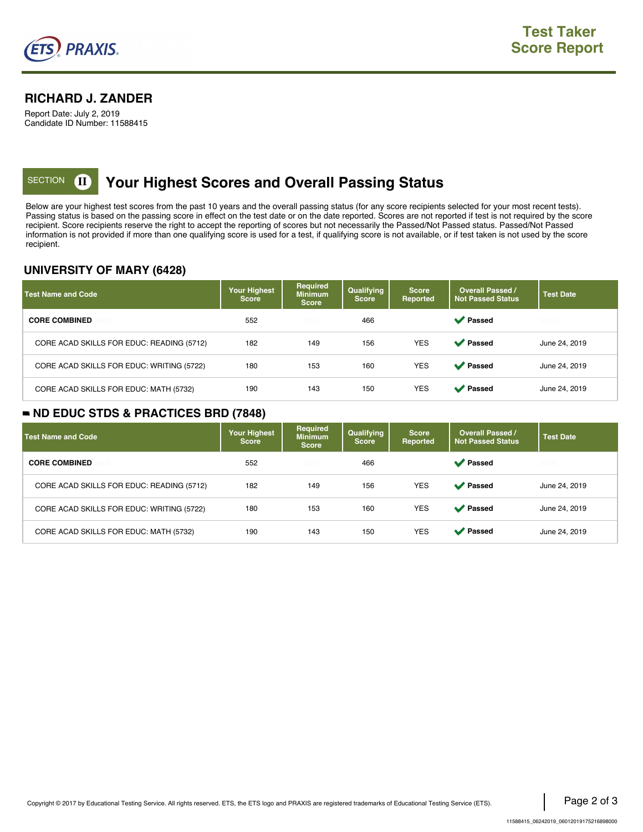

### **RICHARD J. ZANDER**

Report Date: July 2, 2019 Candidate ID Number: 11588415

# **KECTION <b>II** Your Highest Scores and Overall Passing Status

Below are your highest test scores from the past 10 years and the overall passing status (for any score recipients selected for your most recent tests). Passing status is based on the passing score in effect on the test date or on the date reported. Scores are not reported if test is not required by the score recipient. Score recipients reserve the right to accept the reporting of scores but not necessarily the Passed/Not Passed status. Passed/Not Passed information is not provided if more than one qualifying score is used for a test, if qualifying score is not available, or if test taken is not used by the score recipient.

### **UNIVERSITY OF MARY (6428)**

| <b>Test Name and Code</b>                 | Your Highest<br><b>Score</b> | <b>Required</b><br><b>Minimum</b><br><b>Score</b> | Qualifying<br><b>Score</b> | <b>Score</b><br><b>Reported</b> | <b>Overall Passed /</b><br><b>Not Passed Status</b> | <b>Test Date</b> |
|-------------------------------------------|------------------------------|---------------------------------------------------|----------------------------|---------------------------------|-----------------------------------------------------|------------------|
| <b>CORE COMBINED</b>                      | 552                          | blank.                                            | 466                        |                                 | <b>◆</b> Passed                                     | blank.           |
| CORE ACAD SKILLS FOR EDUC: READING (5712) | 182                          | 149                                               | 156                        | <b>YES</b>                      | <b>◆</b> Passed                                     | June 24, 2019    |
| CORE ACAD SKILLS FOR EDUC: WRITING (5722) | 180                          | 153                                               | 160                        | <b>YES</b>                      | <b>◆</b> Passed                                     | June 24, 2019    |
| CORE ACAD SKILLS FOR EDUC: MATH (5732)    | 190                          | 143                                               | 150                        | <b>YES</b>                      | Passed                                              | June 24, 2019    |

### **ND EDUC STDS & PRACTICES BRD (7848)**

| <b>Test Name and Code</b>                 | <b>Your Highest</b><br><b>Score</b> | <b>Required</b><br><b>Minimum</b><br><b>Score</b> | Qualifying<br><b>Score</b> | <b>Score</b><br>Reported | <b>Overall Passed /</b><br><b>Not Passed Status</b> | <b>Test Date</b> |
|-------------------------------------------|-------------------------------------|---------------------------------------------------|----------------------------|--------------------------|-----------------------------------------------------|------------------|
| <b>CORE COMBINED</b>                      | 552                                 | blank                                             | 466                        |                          | <b>◆</b> Passed                                     | blank.           |
| CORE ACAD SKILLS FOR EDUC: READING (5712) | 182                                 | 149                                               | 156                        | <b>YES</b>               | <b>◆</b> Passed                                     | June 24, 2019    |
| CORE ACAD SKILLS FOR EDUC: WRITING (5722) | 180                                 | 153                                               | 160                        | <b>YES</b>               | <b>◆</b> Passed                                     | June 24, 2019    |
| CORE ACAD SKILLS FOR EDUC: MATH (5732)    | 190                                 | 143                                               | 150                        | <b>YES</b>               | <b>◆</b> Passed                                     | June 24, 2019    |